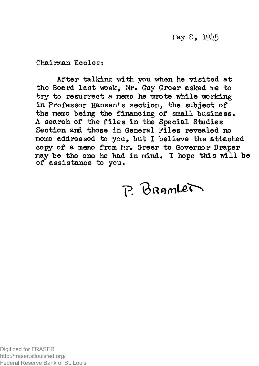$r_8$ ,  $r_9$ 

**Chairman Ecclest** 

**After talking with you when he visited at**  the Board last week, Mr. Guy Greer asked me to **try to resurrect a memo he wrote while working in Professor Hansen<sup>1</sup>s section, the subject of the memo being the financing of small business. A search of the files in the Special Studies Section and those in General Piles revealed no memo addressed to you, but I believe the attached copy of a memo from Mr. Greer to Governor Draper may be the one he had in mind« I hope this will be of assistance to you.** 

P. BRAMLET